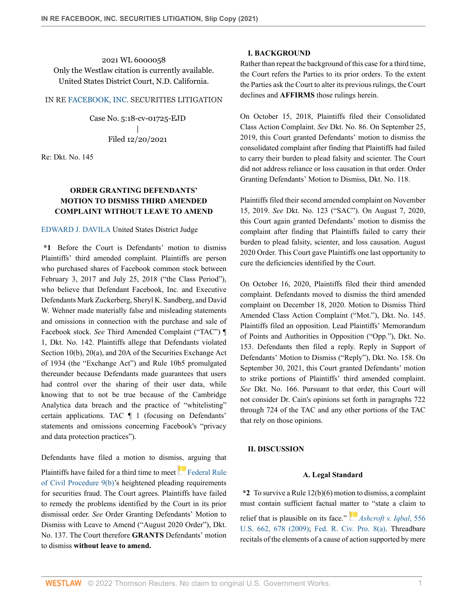2021 WL 6000058 Only the Westlaw citation is currently available. United States District Court, N.D. California.

# IN RE [FACEBOOK, INC.](http://www.westlaw.com/Search/Results.html?query=advanced%3a+WCAID(IE9D0907041EC11DDAD6B0014224D2780)&saveJuris=False&contentType=BUSINESS-INVESTIGATOR&startIndex=1&contextData=(sc.Default)&categoryPageUrl=Home%2fCompanyInvestigator&originationContext=document&vr=3.0&rs=cblt1.0&transitionType=DocumentItem) SECURITIES LITIGATION

Case No. 5:18-cv-01725-EJD | Filed 12/20/2021

Re: Dkt. No. 145

# **ORDER GRANTING DEFENDANTS' MOTION TO DISMISS THIRD AMENDED COMPLAINT WITHOUT LEAVE TO AMEND**

## [EDWARD J. DAVILA](http://www.westlaw.com/Link/Document/FullText?findType=h&pubNum=176284&cite=0121361101&originatingDoc=I058110a0624611ec8337ad9f61f6c691&refType=RQ&originationContext=document&vr=3.0&rs=cblt1.0&transitionType=DocumentItem&contextData=(sc.Keycite)) United States District Judge

**\*1** Before the Court is Defendants' motion to dismiss Plaintiffs' third amended complaint. Plaintiffs are person who purchased shares of Facebook common stock between February 3, 2017 and July 25, 2018 ("the Class Period"), who believe that Defendant Facebook, Inc. and Executive Defendants Mark Zuckerberg, Sheryl K. Sandberg, and David W. Wehner made materially false and misleading statements and omissions in connection with the purchase and sale of Facebook stock. *See* Third Amended Complaint ("TAC") ¶ 1, Dkt. No. 142. Plaintiffs allege that Defendants violated Section 10(b), 20(a), and 20A of the Securities Exchange Act of 1934 (the "Exchange Act") and Rule 10b5 promulgated thereunder because Defendants made guarantees that users had control over the sharing of their user data, while knowing that to not be true because of the Cambridge Analytica data breach and the practice of "whitelisting" certain applications. TAC ¶ 1 (focusing on Defendants' statements and omissions concerning Facebook's "privacy and data protection practices").

Defendants have filed a motion to dismiss, arguing that

Plaintiffshave failed for a third time to meet [Federal Rule](http://www.westlaw.com/Link/Document/FullText?findType=L&pubNum=1000600&cite=USFRCPR9&originatingDoc=I058110a0624611ec8337ad9f61f6c691&refType=LQ&originationContext=document&vr=3.0&rs=cblt1.0&transitionType=DocumentItem&contextData=(sc.Keycite)) [of Civil Procedure 9\(b\)'](http://www.westlaw.com/Link/Document/FullText?findType=L&pubNum=1000600&cite=USFRCPR9&originatingDoc=I058110a0624611ec8337ad9f61f6c691&refType=LQ&originationContext=document&vr=3.0&rs=cblt1.0&transitionType=DocumentItem&contextData=(sc.Keycite))s heightened pleading requirements for securities fraud. The Court agrees. Plaintiffs have failed to remedy the problems identified by the Court in its prior dismissal order. *See* Order Granting Defendants' Motion to Dismiss with Leave to Amend ("August 2020 Order"), Dkt. No. 137. The Court therefore **GRANTS** Defendants' motion to dismiss **without leave to amend.**

# **I. BACKGROUND**

Rather than repeat the background of this case for a third time, the Court refers the Parties to its prior orders. To the extent the Parties ask the Court to alter its previous rulings, the Court declines and **AFFIRMS** those rulings herein.

On October 15, 2018, Plaintiffs filed their Consolidated Class Action Complaint. *See* Dkt. No. 86. On September 25, 2019, this Court granted Defendants' motion to dismiss the consolidated complaint after finding that Plaintiffs had failed to carry their burden to plead falsity and scienter. The Court did not address reliance or loss causation in that order. Order Granting Defendants' Motion to Dismiss, Dkt. No. 118.

Plaintiffs filed their second amended complaint on November 15, 2019. *See* Dkt. No. 123 ("SAC"). On August 7, 2020, this Court again granted Defendants' motion to dismiss the complaint after finding that Plaintiffs failed to carry their burden to plead falsity, scienter, and loss causation. August 2020 Order. This Court gave Plaintiffs one last opportunity to cure the deficiencies identified by the Court.

On October 16, 2020, Plaintiffs filed their third amended complaint. Defendants moved to dismiss the third amended complaint on December 18, 2020. Motion to Dismiss Third Amended Class Action Complaint ("Mot."), Dkt. No. 145. Plaintiffs filed an opposition. Lead Plaintiffs' Memorandum of Points and Authorities in Opposition ("Opp."), Dkt. No. 153. Defendants then filed a reply. Reply in Support of Defendants' Motion to Dismiss ("Reply"), Dkt. No. 158. On September 30, 2021, this Court granted Defendants' motion to strike portions of Plaintiffs' third amended complaint. *See* Dkt. No. 166. Pursuant to that order, this Court will not consider Dr. Cain's opinions set forth in paragraphs 722 through 724 of the TAC and any other portions of the TAC that rely on those opinions.

# **II. DISCUSSION**

## **A. Legal Standard**

**\*2** To survive a Rule 12(b)(6) motion to dismiss, a complaint must contain sufficient factual m[atter](https://1.next.westlaw.com/Link/RelatedInformation/Flag?documentGuid=I90623386439011de8bf6cd8525c41437&transitionType=InlineKeyCiteFlags&originationContext=docHeaderFlag&Rank=0&ppcid=8defc373f5f24fb8b1cccdc1dd532fc0&contextData=(sc.Keycite) ) to "state a claim to

relief that is plausible on its face." *[Ashcroft v. Iqbal](http://www.westlaw.com/Link/Document/FullText?findType=Y&serNum=2018848474&pubNum=0000780&originatingDoc=I058110a0624611ec8337ad9f61f6c691&refType=RP&fi=co_pp_sp_780_678&originationContext=document&vr=3.0&rs=cblt1.0&transitionType=DocumentItem&contextData=(sc.Keycite)#co_pp_sp_780_678)*, 556 [U.S. 662, 678 \(2009\)](http://www.westlaw.com/Link/Document/FullText?findType=Y&serNum=2018848474&pubNum=0000780&originatingDoc=I058110a0624611ec8337ad9f61f6c691&refType=RP&fi=co_pp_sp_780_678&originationContext=document&vr=3.0&rs=cblt1.0&transitionType=DocumentItem&contextData=(sc.Keycite)#co_pp_sp_780_678); [Fed. R. Civ. Pro. 8\(a\).](http://www.westlaw.com/Link/Document/FullText?findType=L&pubNum=1000600&cite=USFRCPR8&originatingDoc=I058110a0624611ec8337ad9f61f6c691&refType=LQ&originationContext=document&vr=3.0&rs=cblt1.0&transitionType=DocumentItem&contextData=(sc.Keycite)) Threadbare recitals of the elements of a cause of action supported by mere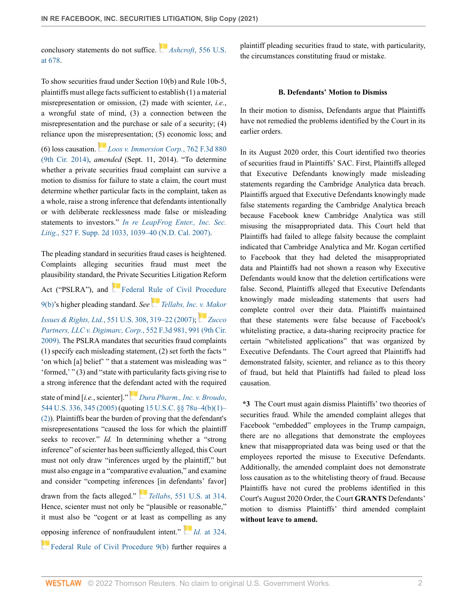conclusory statements do not suffice. *[A](https://1.next.westlaw.com/Link/RelatedInformation/Flag?documentGuid=I90623386439011de8bf6cd8525c41437&transitionType=InlineKeyCiteFlags&originationContext=docHeaderFlag&Rank=0&ppcid=8defc373f5f24fb8b1cccdc1dd532fc0&contextData=(sc.Keycite) )shcroft*[, 556 U.S.](http://www.westlaw.com/Link/Document/FullText?findType=Y&serNum=2018848474&pubNum=0000780&originatingDoc=I058110a0624611ec8337ad9f61f6c691&refType=RP&fi=co_pp_sp_780_678&originationContext=document&vr=3.0&rs=cblt1.0&transitionType=DocumentItem&contextData=(sc.Keycite)#co_pp_sp_780_678) [at 678.](http://www.westlaw.com/Link/Document/FullText?findType=Y&serNum=2018848474&pubNum=0000780&originatingDoc=I058110a0624611ec8337ad9f61f6c691&refType=RP&fi=co_pp_sp_780_678&originationContext=document&vr=3.0&rs=cblt1.0&transitionType=DocumentItem&contextData=(sc.Keycite)#co_pp_sp_780_678)

To show securities fraud under Section 10(b) and Rule 10b-5, plaintiffs must allege facts sufficient to establish (1) a material misrepresentation or omission, (2) made with scienter, *i.e.*, a wrongful state of mind, (3) a connection between the misrepresentation and the purchase or sale of a security; (4) reliance upon the [mis](https://1.next.westlaw.com/Link/RelatedInformation/Flag?documentGuid=I3a651d0f1e4111e4b86bd602cb8781fa&transitionType=InlineKeyCiteFlags&originationContext=docHeaderFlag&Rank=0&ppcid=8defc373f5f24fb8b1cccdc1dd532fc0&contextData=(sc.Keycite) )representation; (5) economic loss; and

(6) loss causation. *[Loos v. Immersion Corp.](http://www.westlaw.com/Link/Document/FullText?findType=Y&serNum=2033986956&pubNum=0000506&originatingDoc=I058110a0624611ec8337ad9f61f6c691&refType=RP&originationContext=document&vr=3.0&rs=cblt1.0&transitionType=DocumentItem&contextData=(sc.Keycite))*, 762 F.3d 880 [\(9th Cir. 2014\),](http://www.westlaw.com/Link/Document/FullText?findType=Y&serNum=2033986956&pubNum=0000506&originatingDoc=I058110a0624611ec8337ad9f61f6c691&refType=RP&originationContext=document&vr=3.0&rs=cblt1.0&transitionType=DocumentItem&contextData=(sc.Keycite)) *amended* (Sept. 11, 2014). "To determine whether a private securities fraud complaint can survive a motion to dismiss for failure to state a claim, the court must determine whether particular facts in the complaint, taken as a whole, raise a strong inference that defendants intentionally or with deliberate recklessness made false or misleading statements to investors." *[In re LeapFrog Enter., Inc. Sec.](http://www.westlaw.com/Link/Document/FullText?findType=Y&serNum=2013451458&pubNum=0004637&originatingDoc=I058110a0624611ec8337ad9f61f6c691&refType=RP&fi=co_pp_sp_4637_1039&originationContext=document&vr=3.0&rs=cblt1.0&transitionType=DocumentItem&contextData=(sc.Keycite)#co_pp_sp_4637_1039) Litig.*[, 527 F. Supp. 2d 1033, 1039–40 \(N.D. Cal. 2007\).](http://www.westlaw.com/Link/Document/FullText?findType=Y&serNum=2013451458&pubNum=0004637&originatingDoc=I058110a0624611ec8337ad9f61f6c691&refType=RP&fi=co_pp_sp_4637_1039&originationContext=document&vr=3.0&rs=cblt1.0&transitionType=DocumentItem&contextData=(sc.Keycite)#co_pp_sp_4637_1039)

The pleading standard in securities fraud cases is heightened. Complaints alleging securities fraud must meet the plausibility standard, the Private Securities Litigation Reform Act ("PSLRA"), and [Federal Rule of Civil Procedure](http://www.westlaw.com/Link/Document/FullText?findType=L&pubNum=1000600&cite=USFRCPR9&originatingDoc=I058110a0624611ec8337ad9f61f6c691&refType=LQ&originationContext=document&vr=3.0&rs=cblt1.0&transitionType=DocumentItem&contextData=(sc.Keycite)) [9\(b\)'](http://www.westlaw.com/Link/Document/FullText?findType=L&pubNum=1000600&cite=USFRCPR9&originatingDoc=I058110a0624611ec8337ad9f61f6c691&refType=LQ&originationContext=document&vr=3.0&rs=cblt1.0&transitionType=DocumentItem&contextData=(sc.Keycite))s higher pleading standard. *See [Tellabs, Inc. v. Makor](http://www.westlaw.com/Link/Document/FullText?findType=Y&serNum=2012518448&pubNum=0000780&originatingDoc=I058110a0624611ec8337ad9f61f6c691&refType=RP&fi=co_pp_sp_780_319&originationContext=document&vr=3.0&rs=cblt1.0&transitionType=DocumentItem&contextData=(sc.Keycite)#co_pp_sp_780_319) Issues & Rights, Ltd.*[, 551 U.S. 308, 319–22 \(2007\)](http://www.westlaw.com/Link/Document/FullText?findType=Y&serNum=2012518448&pubNum=0000780&originatingDoc=I058110a0624611ec8337ad9f61f6c691&refType=RP&fi=co_pp_sp_780_319&originationContext=document&vr=3.0&rs=cblt1.0&transitionType=DocumentItem&contextData=(sc.Keycite)#co_pp_sp_780_319); *[Zucco](http://www.westlaw.com/Link/Document/FullText?findType=Y&serNum=2017861926&pubNum=0000506&originatingDoc=I058110a0624611ec8337ad9f61f6c691&refType=RP&fi=co_pp_sp_506_991&originationContext=document&vr=3.0&rs=cblt1.0&transitionType=DocumentItem&contextData=(sc.Keycite)#co_pp_sp_506_991) [Partners, LLC v. Digimarc, Corp.](http://www.westlaw.com/Link/Document/FullText?findType=Y&serNum=2017861926&pubNum=0000506&originatingDoc=I058110a0624611ec8337ad9f61f6c691&refType=RP&fi=co_pp_sp_506_991&originationContext=document&vr=3.0&rs=cblt1.0&transitionType=DocumentItem&contextData=(sc.Keycite)#co_pp_sp_506_991)*, 552 F.3d 981, 991 (9th Cir. [2009\)](http://www.westlaw.com/Link/Document/FullText?findType=Y&serNum=2017861926&pubNum=0000506&originatingDoc=I058110a0624611ec8337ad9f61f6c691&refType=RP&fi=co_pp_sp_506_991&originationContext=document&vr=3.0&rs=cblt1.0&transitionType=DocumentItem&contextData=(sc.Keycite)#co_pp_sp_506_991). The PSLRA mandates that securities fraud complaints (1) specify each misleading statement, (2) set forth the facts "

'on which [a] belief' " that a statement was misleading was " 'formed,' " (3) and "state with particularity facts giving rise to a strong inference that the d[efen](https://1.next.westlaw.com/Link/RelatedInformation/Flag?documentGuid=I9a6b7fd0b03211d9a707f4371c9c34f0&transitionType=InlineKeyCiteFlags&originationContext=docHeaderFlag&Rank=0&ppcid=8defc373f5f24fb8b1cccdc1dd532fc0&contextData=(sc.Keycite) )dant acted with the required

state of mind [*i.e.*, scienter]." *[Dura Pharm., Inc. v. Broudo](http://www.westlaw.com/Link/Document/FullText?findType=Y&serNum=2006478482&pubNum=0000780&originatingDoc=I058110a0624611ec8337ad9f61f6c691&refType=RP&fi=co_pp_sp_780_345&originationContext=document&vr=3.0&rs=cblt1.0&transitionType=DocumentItem&contextData=(sc.Keycite)#co_pp_sp_780_345)*, [544 U.S. 336, 345 \(2005\)](http://www.westlaw.com/Link/Document/FullText?findType=Y&serNum=2006478482&pubNum=0000780&originatingDoc=I058110a0624611ec8337ad9f61f6c691&refType=RP&fi=co_pp_sp_780_345&originationContext=document&vr=3.0&rs=cblt1.0&transitionType=DocumentItem&contextData=(sc.Keycite)#co_pp_sp_780_345) (quoting [15 U.S.C. §§ 78u–4\(b\)\(1\)–](http://www.westlaw.com/Link/Document/FullText?findType=L&pubNum=1000546&cite=15USCAS78U-4&originatingDoc=I058110a0624611ec8337ad9f61f6c691&refType=RB&originationContext=document&vr=3.0&rs=cblt1.0&transitionType=DocumentItem&contextData=(sc.Keycite)#co_pp_3fed000053a85) [\(2\)\)](http://www.westlaw.com/Link/Document/FullText?findType=L&pubNum=1000546&cite=15USCAS78U-4&originatingDoc=I058110a0624611ec8337ad9f61f6c691&refType=RB&originationContext=document&vr=3.0&rs=cblt1.0&transitionType=DocumentItem&contextData=(sc.Keycite)#co_pp_3fed000053a85). Plaintiffs bear the burden of proving that the defendant's misrepresentations "caused the loss for which the plaintiff seeks to recover." *Id.* In determining whether a "strong inference" of scienter has been sufficiently alleged, this Court must not only draw "inferences urged by the plaintiff," but must also engage in a "comparative evaluation," and examine and consider "competing infer[ence](https://1.next.westlaw.com/Link/RelatedInformation/Flag?documentGuid=Ic37dd7791fdd11dc9b239dfedc9bb45f&transitionType=InlineKeyCiteFlags&originationContext=docHeaderFlag&Rank=0&ppcid=8defc373f5f24fb8b1cccdc1dd532fc0&contextData=(sc.Keycite) )s [in defendants' favor]

drawn from the facts alleged." *Tellabs*[, 551 U.S. at 314](http://www.westlaw.com/Link/Document/FullText?findType=Y&serNum=2012518448&pubNum=0000780&originatingDoc=I058110a0624611ec8337ad9f61f6c691&refType=RP&fi=co_pp_sp_780_314&originationContext=document&vr=3.0&rs=cblt1.0&transitionType=DocumentItem&contextData=(sc.Keycite)#co_pp_sp_780_314). Hence, scienter must not only be "plausible or reasonable," it must also be "cogent or at least as com[pelli](https://1.next.westlaw.com/Link/RelatedInformation/Flag?documentGuid=Ic37dd7791fdd11dc9b239dfedc9bb45f&transitionType=InlineKeyCiteFlags&originationContext=docHeaderFlag&Rank=0&ppcid=8defc373f5f24fb8b1cccdc1dd532fc0&contextData=(sc.Keycite) )ng as any [opp](https://1.next.westlaw.com/Link/RelatedInformation/Flag?documentGuid=N32A6F0B0B96011D8983DF34406B5929B&transitionType=InlineKeyCiteFlags&originationContext=docHeaderFlag&Rank=0&ppcid=8defc373f5f24fb8b1cccdc1dd532fc0&contextData=(sc.Keycite) )osing inference of nonfraudulent intent." *Id.* [at 324](http://www.westlaw.com/Link/Document/FullText?findType=Y&serNum=2012518448&pubNum=0000780&originatingDoc=I058110a0624611ec8337ad9f61f6c691&refType=RP&fi=co_pp_sp_780_324&originationContext=document&vr=3.0&rs=cblt1.0&transitionType=DocumentItem&contextData=(sc.Keycite)#co_pp_sp_780_324). [Federal Rule of Civil Procedure 9\(b\)](http://www.westlaw.com/Link/Document/FullText?findType=L&pubNum=1000600&cite=USFRCPR9&originatingDoc=I058110a0624611ec8337ad9f61f6c691&refType=LQ&originationContext=document&vr=3.0&rs=cblt1.0&transitionType=DocumentItem&contextData=(sc.Keycite)) further requires a plaintiff pleading securities fraud to state, with particularity, the circumstances constituting fraud or mistake.

### **B. Defendants' Motion to Dismiss**

In their motion to dismiss, Defendants argue that Plaintiffs have not remedied the problems identified by the Court in its earlier orders.

In its August 2020 order, this Court identified two theories of securities fraud in Plaintiffs' SAC. First, Plaintiffs alleged that Executive Defendants knowingly made misleading statements regarding the Cambridge Analytica data breach. Plaintiffs argued that Executive Defendants knowingly made false statements regarding the Cambridge Analytica breach because Facebook knew Cambridge Analytica was still misusing the misappropriated data. This Court held that Plaintiffs had failed to allege falsity because the complaint indicated that Cambridge Analytica and Mr. Kogan certified to Facebook that they had deleted the misappropriated data and Plaintiffs had not shown a reason why Executive Defendants would know that the deletion certifications were false. Second, Plaintiffs alleged that Executive Defendants knowingly made misleading statements that users had complete control over their data. Plaintiffs maintained that these statements were false because of Facebook's whitelisting practice, a data-sharing reciprocity practice for certain "whitelisted applications" that was organized by Executive Defendants. The Court agreed that Plaintiffs had demonstrated falsity, scienter, and reliance as to this theory of fraud, but held that Plaintiffs had failed to plead loss causation.

**\*3** The Court must again dismiss Plaintiffs' two theories of securities fraud. While the amended complaint alleges that Facebook "embedded" employees in the Trump campaign, there are no allegations that demonstrate the employees knew that misappropriated data was being used or that the employees reported the misuse to Executive Defendants. Additionally, the amended complaint does not demonstrate loss causation as to the whitelisting theory of fraud. Because Plaintiffs have not cured the problems identified in this Court's August 2020 Order, the Court **GRANTS** Defendants' motion to dismiss Plaintiffs' third amended complaint **without leave to amend.**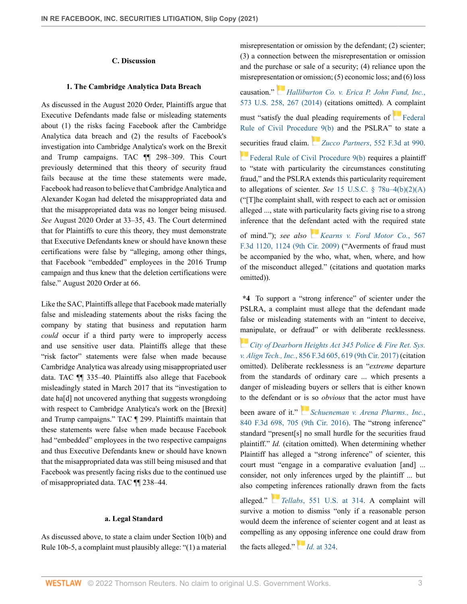## **C. Discussion**

#### **1. The Cambridge Analytica Data Breach**

As discussed in the August 2020 Order, Plaintiffs argue that Executive Defendants made false or misleading statements about (1) the risks facing Facebook after the Cambridge Analytica data breach and (2) the results of Facebook's investigation into Cambridge Analytica's work on the Brexit and Trump campaigns. TAC ¶¶ 298–309. This Court previously determined that this theory of security fraud fails because at the time these statements were made, Facebook had reason to believe that Cambridge Analytica and Alexander Kogan had deleted the misappropriated data and that the misappropriated data was no longer being misused. *See* August 2020 Order at 33–35, 43. The Court determined that for Plaintiffs to cure this theory, they must demonstrate that Executive Defendants knew or should have known these certifications were false by "alleging, among other things, that Facebook "embedded" employees in the 2016 Trump campaign and thus knew that the deletion certifications were false." August 2020 Order at 66.

Like the SAC, Plaintiffs allege that Facebook made materially false and misleading statements about the risks facing the company by stating that business and reputation harm *could* occur if a third party were to improperly access and use sensitive user data. Plaintiffs allege that these "risk factor" statements were false when made because Cambridge Analytica was already using misappropriated user data. TAC ¶¶ 335–40. Plaintiffs also allege that Facebook misleadingly stated in March 2017 that its "investigation to date ha[d] not uncovered anything that suggests wrongdoing with respect to Cambridge Analytica's work on the [Brexit] and Trump campaigns." TAC ¶ 299. Plaintiffs maintain that these statements were false when made because Facebook had "embedded" employees in the two respective campaigns and thus Executive Defendants knew or should have known that the misappropriated data was still being misused and that Facebook was presently facing risks due to the continued use of misappropriated data. TAC ¶¶ 238–44.

#### **a. Legal Standard**

As discussed above, to state a claim under Section 10(b) and Rule 10b-5, a complaint must plausibly allege: "(1) a material

misrepresentation or omission by the defendant; (2) scienter; (3) a connection between the misrepresentation or omission and the purchase or sale of a security; (4) reliance upon the misreprese[ntati](https://1.next.westlaw.com/Link/RelatedInformation/Flag?documentGuid=Icbae3351fac111e3b4bafa136b480ad2&transitionType=InlineKeyCiteFlags&originationContext=docHeaderFlag&Rank=0&ppcid=8defc373f5f24fb8b1cccdc1dd532fc0&contextData=(sc.Keycite) )on or omission; (5) economic loss; and (6) loss causation." *[Halliburton Co. v. Erica P. John Fund, Inc.](http://www.westlaw.com/Link/Document/FullText?findType=Y&serNum=2033642715&pubNum=0000780&originatingDoc=I058110a0624611ec8337ad9f61f6c691&refType=RP&fi=co_pp_sp_780_267&originationContext=document&vr=3.0&rs=cblt1.0&transitionType=DocumentItem&contextData=(sc.Keycite)#co_pp_sp_780_267)*, [573 U.S. 258, 267 \(2014\)](http://www.westlaw.com/Link/Document/FullText?findType=Y&serNum=2033642715&pubNum=0000780&originatingDoc=I058110a0624611ec8337ad9f61f6c691&refType=RP&fi=co_pp_sp_780_267&originationContext=document&vr=3.0&rs=cblt1.0&transitionType=DocumentItem&contextData=(sc.Keycite)#co_pp_sp_780_267) (citations omitted). A complaint must "satisfy the dual pleading requirements of [Federal](http://www.westlaw.com/Link/Document/FullText?findType=L&pubNum=1000600&cite=USFRCPR9&originatingDoc=I058110a0624611ec8337ad9f61f6c691&refType=LQ&originationContext=document&vr=3.0&rs=cblt1.0&transitionType=DocumentItem&contextData=(sc.Keycite)) [Rule of Civil Procedure 9\(b\)](http://www.westlaw.com/Link/Document/FullText?findType=L&pubNum=1000600&cite=USFRCPR9&originatingDoc=I058110a0624611ec8337ad9f61f6c691&refType=LQ&originationContext=document&vr=3.0&rs=cblt1.0&transitionType=DocumentItem&contextData=(sc.Keycite)) and the PSLRA" to state a [secu](https://1.next.westlaw.com/Link/RelatedInformation/Flag?documentGuid=N32A6F0B0B96011D8983DF34406B5929B&transitionType=InlineKeyCiteFlags&originationContext=docHeaderFlag&Rank=0&ppcid=8defc373f5f24fb8b1cccdc1dd532fc0&contextData=(sc.Keycite) )rities fraud claim. *Zucco Partners*[, 552 F.3d at 990](http://www.westlaw.com/Link/Document/FullText?findType=Y&serNum=2017861926&pubNum=0000506&originatingDoc=I058110a0624611ec8337ad9f61f6c691&refType=RP&fi=co_pp_sp_506_990&originationContext=document&vr=3.0&rs=cblt1.0&transitionType=DocumentItem&contextData=(sc.Keycite)#co_pp_sp_506_990). [Federal Rule of Civil Procedure 9\(b\)](http://www.westlaw.com/Link/Document/FullText?findType=L&pubNum=1000600&cite=USFRCPR9&originatingDoc=I058110a0624611ec8337ad9f61f6c691&refType=LQ&originationContext=document&vr=3.0&rs=cblt1.0&transitionType=DocumentItem&contextData=(sc.Keycite)) requires a plaintiff to "state with particularity the circumstances constituting fraud," and the PSLRA extends this particularity requirement

to allegations of scienter. *See* [15 U.S.C. § 78u–4\(b\)\(2\)\(A\)](http://www.westlaw.com/Link/Document/FullText?findType=L&pubNum=1000546&cite=15USCAS78U-4&originatingDoc=I058110a0624611ec8337ad9f61f6c691&refType=RB&originationContext=document&vr=3.0&rs=cblt1.0&transitionType=DocumentItem&contextData=(sc.Keycite)#co_pp_1eca000045f07) ("[T]he complaint shall, with respect to each act or omission alleged ..., state with particularity facts giving rise to a strong inference that the defendant acted with the required state

of mind."); *see also [Kearns v. Ford Motor Co.](http://www.westlaw.com/Link/Document/FullText?findType=Y&serNum=2018991924&pubNum=0000506&originatingDoc=I058110a0624611ec8337ad9f61f6c691&refType=RP&fi=co_pp_sp_506_1124&originationContext=document&vr=3.0&rs=cblt1.0&transitionType=DocumentItem&contextData=(sc.Keycite)#co_pp_sp_506_1124)*, 567 [F.3d 1120, 1124 \(9th Cir. 2009\)](http://www.westlaw.com/Link/Document/FullText?findType=Y&serNum=2018991924&pubNum=0000506&originatingDoc=I058110a0624611ec8337ad9f61f6c691&refType=RP&fi=co_pp_sp_506_1124&originationContext=document&vr=3.0&rs=cblt1.0&transitionType=DocumentItem&contextData=(sc.Keycite)#co_pp_sp_506_1124) ("Averments of fraud must be accompanied by the who, what, when, where, and how of the misconduct alleged." (citations and quotation marks omitted)).

**\*4** To support a "strong inference" of scienter under the PSLRA, a complaint must allege that the defendant made false or misleading statements with an "intent to deceive, [man](https://1.next.westlaw.com/Link/RelatedInformation/Flag?documentGuid=Ia69a433031c711e7afe7804507f6db3f&transitionType=InlineKeyCiteFlags&originationContext=docHeaderFlag&Rank=0&ppcid=8defc373f5f24fb8b1cccdc1dd532fc0&contextData=(sc.Keycite) )ipulate, or defraud" or with deliberate recklessness.

*[City of Dearborn Heights Act 345 Police & Fire Ret. Sys.](http://www.westlaw.com/Link/Document/FullText?findType=Y&serNum=2041587175&pubNum=0000506&originatingDoc=I058110a0624611ec8337ad9f61f6c691&refType=RP&fi=co_pp_sp_506_619&originationContext=document&vr=3.0&rs=cblt1.0&transitionType=DocumentItem&contextData=(sc.Keycite)#co_pp_sp_506_619) v. Align Tech., Inc.*[, 856 F.3d 605, 619 \(9th Cir. 2017\)](http://www.westlaw.com/Link/Document/FullText?findType=Y&serNum=2041587175&pubNum=0000506&originatingDoc=I058110a0624611ec8337ad9f61f6c691&refType=RP&fi=co_pp_sp_506_619&originationContext=document&vr=3.0&rs=cblt1.0&transitionType=DocumentItem&contextData=(sc.Keycite)#co_pp_sp_506_619) (citation omitted). Deliberate recklessness is an "*extreme* departure from the standards of ordinary care ... which presents a danger of misleading buyers or sellers that is either known to the defendant or [is](https://1.next.westlaw.com/Link/RelatedInformation/Flag?documentGuid=I846259009be611e6b27be1b44e7e7e5b&transitionType=InlineKeyCiteFlags&originationContext=docHeaderFlag&Rank=0&ppcid=8defc373f5f24fb8b1cccdc1dd532fc0&contextData=(sc.Keycite) ) so *obvious* that the actor must have

been aware of it." *[Schueneman v. Arena Pharms., Inc.](http://www.westlaw.com/Link/Document/FullText?findType=Y&serNum=2040178069&pubNum=0000506&originatingDoc=I058110a0624611ec8337ad9f61f6c691&refType=RP&fi=co_pp_sp_506_705&originationContext=document&vr=3.0&rs=cblt1.0&transitionType=DocumentItem&contextData=(sc.Keycite)#co_pp_sp_506_705)*, [840 F.3d 698, 705 \(9th Cir. 2016\)](http://www.westlaw.com/Link/Document/FullText?findType=Y&serNum=2040178069&pubNum=0000506&originatingDoc=I058110a0624611ec8337ad9f61f6c691&refType=RP&fi=co_pp_sp_506_705&originationContext=document&vr=3.0&rs=cblt1.0&transitionType=DocumentItem&contextData=(sc.Keycite)#co_pp_sp_506_705). The "strong inference" standard "present[s] no small hurdle for the securities fraud plaintiff." *Id.* (citation omitted). When determining whether Plaintiff has alleged a "strong inference" of scienter, this court must "engage in a comparative evaluation [and] ... consider, not only inferences urged by the plaintiff ... but also com[petin](https://1.next.westlaw.com/Link/RelatedInformation/Flag?documentGuid=Ic37dd7791fdd11dc9b239dfedc9bb45f&transitionType=InlineKeyCiteFlags&originationContext=docHeaderFlag&Rank=0&ppcid=8defc373f5f24fb8b1cccdc1dd532fc0&contextData=(sc.Keycite) )g inferences rationally drawn from the facts

alleged." *Tellabs*[, 551 U.S. at 314.](http://www.westlaw.com/Link/Document/FullText?findType=Y&serNum=2012518448&pubNum=0000780&originatingDoc=I058110a0624611ec8337ad9f61f6c691&refType=RP&fi=co_pp_sp_780_314&originationContext=document&vr=3.0&rs=cblt1.0&transitionType=DocumentItem&contextData=(sc.Keycite)#co_pp_sp_780_314) A complaint will survive a motion to dismiss "only if a reasonable person would deem the inference of scienter cogent and at least as compelling as an[y op](https://1.next.westlaw.com/Link/RelatedInformation/Flag?documentGuid=Ic37dd7791fdd11dc9b239dfedc9bb45f&transitionType=InlineKeyCiteFlags&originationContext=docHeaderFlag&Rank=0&ppcid=8defc373f5f24fb8b1cccdc1dd532fc0&contextData=(sc.Keycite) )posing inference one could draw from the facts alleged." *Id.* [at 324](http://www.westlaw.com/Link/Document/FullText?findType=Y&serNum=2012518448&pubNum=0000780&originatingDoc=I058110a0624611ec8337ad9f61f6c691&refType=RP&fi=co_pp_sp_780_324&originationContext=document&vr=3.0&rs=cblt1.0&transitionType=DocumentItem&contextData=(sc.Keycite)#co_pp_sp_780_324).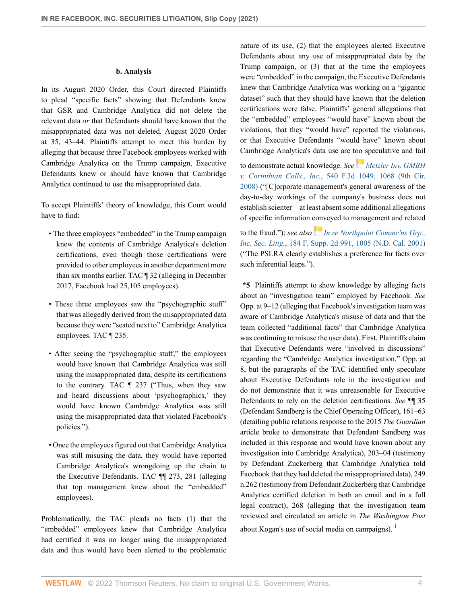### **b. Analysis**

In its August 2020 Order, this Court directed Plaintiffs to plead "specific facts" showing that Defendants knew that GSR and Cambridge Analytica did not delete the relevant data *or* that Defendants should have known that the misappropriated data was not deleted. August 2020 Order at 35, 43–44. Plaintiffs attempt to meet this burden by alleging that because three Facebook employees worked with Cambridge Analytica on the Trump campaign, Executive Defendants knew or should have known that Cambridge Analytica continued to use the misappropriated data.

To accept Plaintiffs' theory of knowledge, this Court would have to find:

- The three employees "embedded" in the Trump campaign knew the contents of Cambridge Analytica's deletion certifications, even though those certifications were provided to other employees in another department more than six months earlier. TAC ¶ 32 (alleging in December 2017, Facebook had 25,105 employees).
- These three employees saw the "psychographic stuff" that was allegedly derived from the misappropriated data because they were "seated next to" Cambridge Analytica employees. TAC ¶ 235.
- After seeing the "psychographic stuff," the employees would have known that Cambridge Analytica was still using the misappropriated data, despite its certifications to the contrary. TAC ¶ 237 ("Thus, when they saw and heard discussions about 'psychographics,' they would have known Cambridge Analytica was still using the misappropriated data that violated Facebook's policies.").
- Once the employees figured out that Cambridge Analytica was still misusing the data, they would have reported Cambridge Analytica's wrongdoing up the chain to the Executive Defendants. TAC ¶¶ 273, 281 (alleging that top management knew about the "embedded" employees).

Problematically, the TAC pleads no facts (1) that the "embedded" employees knew that Cambridge Analytica had certified it was no longer using the misappropriated data and thus would have been alerted to the problematic nature of its use, (2) that the employees alerted Executive Defendants about any use of misappropriated data by the Trump campaign, or (3) that at the time the employees were "embedded" in the campaign, the Executive Defendants knew that Cambridge Analytica was working on a "gigantic dataset" such that they should have known that the deletion certifications were false. Plaintiffs' general allegations that the "embedded" employees "would have" known about the violations, that they "would have" reported the violations, or that Executive Defendants "would have" known about Cambridge Analytica's data use are too speculative and fail

to demonstrate actual knowledge. *See[Metzler Inv. GMBH](http://www.westlaw.com/Link/Document/FullText?findType=Y&serNum=2016838098&pubNum=0000506&originatingDoc=I058110a0624611ec8337ad9f61f6c691&refType=RP&fi=co_pp_sp_506_1068&originationContext=document&vr=3.0&rs=cblt1.0&transitionType=DocumentItem&contextData=(sc.Keycite)#co_pp_sp_506_1068) v. Corinthian Colls., Inc.*[, 540 F.3d 1049, 1068 \(9th Cir.](http://www.westlaw.com/Link/Document/FullText?findType=Y&serNum=2016838098&pubNum=0000506&originatingDoc=I058110a0624611ec8337ad9f61f6c691&refType=RP&fi=co_pp_sp_506_1068&originationContext=document&vr=3.0&rs=cblt1.0&transitionType=DocumentItem&contextData=(sc.Keycite)#co_pp_sp_506_1068) [2008\)](http://www.westlaw.com/Link/Document/FullText?findType=Y&serNum=2016838098&pubNum=0000506&originatingDoc=I058110a0624611ec8337ad9f61f6c691&refType=RP&fi=co_pp_sp_506_1068&originationContext=document&vr=3.0&rs=cblt1.0&transitionType=DocumentItem&contextData=(sc.Keycite)#co_pp_sp_506_1068) ("[C]orporate management's general awareness of the day-to-day workings of the company's business does not establish scienter—at least absent some additional allegations of specific information conveyed to management and related

to the fraud."); *see also [In re Northpoint Commc'ns Grp.,](http://www.westlaw.com/Link/Document/FullText?findType=Y&serNum=2002052406&pubNum=0004637&originatingDoc=I058110a0624611ec8337ad9f61f6c691&refType=RP&fi=co_pp_sp_4637_1005&originationContext=document&vr=3.0&rs=cblt1.0&transitionType=DocumentItem&contextData=(sc.Keycite)#co_pp_sp_4637_1005) Inc. Sec. Litig.*[, 184 F. Supp. 2d 991, 1005 \(N.D. Cal. 2001\)](http://www.westlaw.com/Link/Document/FullText?findType=Y&serNum=2002052406&pubNum=0004637&originatingDoc=I058110a0624611ec8337ad9f61f6c691&refType=RP&fi=co_pp_sp_4637_1005&originationContext=document&vr=3.0&rs=cblt1.0&transitionType=DocumentItem&contextData=(sc.Keycite)#co_pp_sp_4637_1005) ("The PSLRA clearly establishes a preference for facts over such inferential leaps.").

<span id="page-3-0"></span>**\*5** Plaintiffs attempt to show knowledge by alleging facts about an "investigation team" employed by Facebook. *See* Opp. at 9–12 (alleging that Facebook's investigation team was aware of Cambridge Analytica's misuse of data and that the team collected "additional facts" that Cambridge Analytica was continuing to misuse the user data). First, Plaintiffs claim that Executive Defendants were "involved in discussions" regarding the "Cambridge Analytica investigation," Opp. at 8, but the paragraphs of the TAC identified only speculate about Executive Defendants role in the investigation and do not demonstrate that it was unreasonable for Executive Defendants to rely on the deletion certifications. *See* ¶¶ 35 (Defendant Sandberg is the Chief Operating Officer), 161–63 (detailing public relations response to the 2015 *The Guardian* article broke to demonstrate that Defendant Sandberg was included in this response and would have known about any investigation into Cambridge Analytica), 203–04 (testimony by Defendant Zuckerberg that Cambridge Analytica told Facebook that they had deleted the misappropriated data), 249 n.262 (testimony from Defendant Zuckerberg that Cambridge Analytica certified deletion in both an email and in a full legal contract), 268 (alleging that the investigation team reviewed and circulated an article in *The Washington Post* about Kogan's use of social media on campaigns).  $\frac{1}{1}$  $\frac{1}{1}$  $\frac{1}{1}$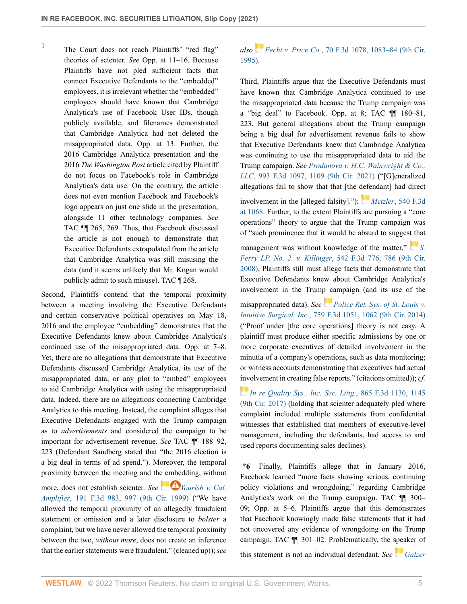<span id="page-4-0"></span>[1](#page-3-0) The Court does not reach Plaintiffs' "red flag" theories of scienter. *See* Opp. at 11–16. Because Plaintiffs have not pled sufficient facts that connect Executive Defendants to the "embedded" employees, it is irrelevant whether the "embedded" employees should have known that Cambridge Analytica's use of Facebook User IDs, though publicly available, and filenames demonstrated that Cambridge Analytica had not deleted the misappropriated data. Opp. at 13. Further, the 2016 Cambridge Analytica presentation and the 2016 *The Washington Post* article cited by Plaintiff do not focus on Facebook's role in Cambridge Analytica's data use. On the contrary, the article does not even mention Facebook and Facebook's logo appears on just one slide in the presentation, alongside 11 other technology companies. *See* TAC ¶¶ 265, 269. Thus, that Facebook discussed the article is not enough to demonstrate that Executive Defendants extrapolated from the article that Cambridge Analytica was still misusing the data (and it seems unlikely that Mr. Kogan would publicly admit to such misuse). TAC ¶ 268.

Second, Plaintiffs contend that the temporal proximity between a meeting involving the Executive Defendants and certain conservative political operatives on May 18, 2016 and the employee "embedding" demonstrates that the Executive Defendants knew about Cambridge Analytica's continued use of the misappropriated data. Opp. at 7–8. Yet, there are no allegations that demonstrate that Executive Defendants discussed Cambridge Analytica, its use of the misappropriated data, or any plot to "embed" employees to aid Cambridge Analytica with using the misappropriated data. Indeed, there are no allegations connecting Cambridge Analytica to this meeting. Instead, the complaint alleges that Executive Defendants engaged with the Trump campaign as to *advertisements* and considered the campaign to be important for advertisement revenue. *See* TAC ¶¶ 188–92, 223 (Defendant Sandberg stated that "the 2016 election is a big deal in terms of ad spend."). Moreover, the temporal proximity between the meeting and the embedding, without

more, does not establish scienter. *See* **4** *[Yourish v. Cal.](http://www.westlaw.com/Link/Document/FullText?findType=Y&serNum=1999227195&pubNum=0000506&originatingDoc=I058110a0624611ec8337ad9f61f6c691&refType=RP&fi=co_pp_sp_506_997&originationContext=document&vr=3.0&rs=cblt1.0&transitionType=DocumentItem&contextData=(sc.Keycite)#co_pp_sp_506_997) Amplifier*[, 191 F.3d 983, 997 \(9th Cir. 1999\)](http://www.westlaw.com/Link/Document/FullText?findType=Y&serNum=1999227195&pubNum=0000506&originatingDoc=I058110a0624611ec8337ad9f61f6c691&refType=RP&fi=co_pp_sp_506_997&originationContext=document&vr=3.0&rs=cblt1.0&transitionType=DocumentItem&contextData=(sc.Keycite)#co_pp_sp_506_997) ("We have allowed the temporal proximity of an allegedly fraudulent statement or omission and a later disclosure to *bolster* a complaint, but we have never allowed the temporal proximity between the two, *without more*, does not create an inference that the earlier statements were fraudulent." (cleaned up)); *see*

# *also Fecht v. Price Co.*[, 70 F.3d 1078, 1083–84 \(9th Cir.](http://www.westlaw.com/Link/Document/FullText?findType=Y&serNum=1995230403&pubNum=0000506&originatingDoc=I058110a0624611ec8337ad9f61f6c691&refType=RP&fi=co_pp_sp_506_1083&originationContext=document&vr=3.0&rs=cblt1.0&transitionType=DocumentItem&contextData=(sc.Keycite)#co_pp_sp_506_1083) [1995\)](http://www.westlaw.com/Link/Document/FullText?findType=Y&serNum=1995230403&pubNum=0000506&originatingDoc=I058110a0624611ec8337ad9f61f6c691&refType=RP&fi=co_pp_sp_506_1083&originationContext=document&vr=3.0&rs=cblt1.0&transitionType=DocumentItem&contextData=(sc.Keycite)#co_pp_sp_506_1083).

Third, Plaintiffs argue that the Executive Defendants must have known that Cambridge Analytica continued to use the misappropriated data because the Trump campaign was a "big deal" to Facebook. Opp. at 8; TAC ¶¶ 180–81, 223. But general allegations about the Trump campaign being a big deal for advertisement revenue fails to show that Executive Defendants knew that Cambridge Analytica was continuing to use the misappropriated data to aid the Trump campaign. *See [Prodanova v. H.C. Wainwright & Co.,](http://www.westlaw.com/Link/Document/FullText?findType=Y&serNum=2053403508&pubNum=0000506&originatingDoc=I058110a0624611ec8337ad9f61f6c691&refType=RP&fi=co_pp_sp_506_1109&originationContext=document&vr=3.0&rs=cblt1.0&transitionType=DocumentItem&contextData=(sc.Keycite)#co_pp_sp_506_1109) LLC*[, 993 F.3d 1097, 1109 \(9th Cir. 2021\)](http://www.westlaw.com/Link/Document/FullText?findType=Y&serNum=2053403508&pubNum=0000506&originatingDoc=I058110a0624611ec8337ad9f61f6c691&refType=RP&fi=co_pp_sp_506_1109&originationContext=document&vr=3.0&rs=cblt1.0&transitionType=DocumentItem&contextData=(sc.Keycite)#co_pp_sp_506_1109) ("[G]eneralized allegations fail to show that that [the [defe](https://1.next.westlaw.com/Link/RelatedInformation/Flag?documentGuid=I7bfd96fd738e11ddb6a3a099756c05b7&transitionType=InlineKeyCiteFlags&originationContext=docHeaderFlag&Rank=0&ppcid=8defc373f5f24fb8b1cccdc1dd532fc0&contextData=(sc.Keycite) )ndant] had direct

involvement in the [alleged falsity]."); *Metzler*[, 540 F.3d](http://www.westlaw.com/Link/Document/FullText?findType=Y&serNum=2016838098&pubNum=0000506&originatingDoc=I058110a0624611ec8337ad9f61f6c691&refType=RP&fi=co_pp_sp_506_1068&originationContext=document&vr=3.0&rs=cblt1.0&transitionType=DocumentItem&contextData=(sc.Keycite)#co_pp_sp_506_1068) [at 1068.](http://www.westlaw.com/Link/Document/FullText?findType=Y&serNum=2016838098&pubNum=0000506&originatingDoc=I058110a0624611ec8337ad9f61f6c691&refType=RP&fi=co_pp_sp_506_1068&originationContext=document&vr=3.0&rs=cblt1.0&transitionType=DocumentItem&contextData=(sc.Keycite)#co_pp_sp_506_1068) Further, to the extent Plaintiffs are pursuing a "core operations" theory to argue that the Trump campaign was of "such prominence that it would be absurd to sugges[t th](https://1.next.westlaw.com/Link/RelatedInformation/Flag?documentGuid=I84f4b75d7e9511dd9876f446780b7bdc&transitionType=InlineKeyCiteFlags&originationContext=docHeaderFlag&Rank=0&ppcid=8defc373f5f24fb8b1cccdc1dd532fc0&contextData=(sc.Keycite) )at

management was without knowledge of the matter," *Ferry LP, No. 2. v. Killinger*[, 542 F.3d 776, 786 \(9th Cir.](http://www.westlaw.com/Link/Document/FullText?findType=Y&serNum=2016936038&pubNum=0000506&originatingDoc=I058110a0624611ec8337ad9f61f6c691&refType=RP&fi=co_pp_sp_506_786&originationContext=document&vr=3.0&rs=cblt1.0&transitionType=DocumentItem&contextData=(sc.Keycite)#co_pp_sp_506_786) [2008\)](http://www.westlaw.com/Link/Document/FullText?findType=Y&serNum=2016936038&pubNum=0000506&originatingDoc=I058110a0624611ec8337ad9f61f6c691&refType=RP&fi=co_pp_sp_506_786&originationContext=document&vr=3.0&rs=cblt1.0&transitionType=DocumentItem&contextData=(sc.Keycite)#co_pp_sp_506_786), Plaintiffs still must allege facts that demonstrate that Executive Defendants knew about Cambridge Analytica's involvement in the Trump campaign (and its use of the

misappropriated data). *See [Police Ret. Sys. of St. Louis v.](http://www.westlaw.com/Link/Document/FullText?findType=Y&serNum=2033853433&pubNum=0000506&originatingDoc=I058110a0624611ec8337ad9f61f6c691&refType=RP&fi=co_pp_sp_506_1062&originationContext=document&vr=3.0&rs=cblt1.0&transitionType=DocumentItem&contextData=(sc.Keycite)#co_pp_sp_506_1062) Intuitive Surgical, Inc.*[, 759 F.3d 1051, 1062 \(9th Cir. 2014\)](http://www.westlaw.com/Link/Document/FullText?findType=Y&serNum=2033853433&pubNum=0000506&originatingDoc=I058110a0624611ec8337ad9f61f6c691&refType=RP&fi=co_pp_sp_506_1062&originationContext=document&vr=3.0&rs=cblt1.0&transitionType=DocumentItem&contextData=(sc.Keycite)#co_pp_sp_506_1062) ("Proof under [the core operations] theory is not easy. A plaintiff must produce either specific admissions by one or more corporate executives of detailed involvement in the minutia of a company's operations, such as data monitoring; or witness accounts demonstrating that executives had actual [invo](https://1.next.westlaw.com/Link/RelatedInformation/Flag?documentGuid=Ibaa4c56073cd11e7b7978f65e9bf93b3&transitionType=InlineKeyCiteFlags&originationContext=docHeaderFlag&Rank=0&ppcid=8defc373f5f24fb8b1cccdc1dd532fc0&contextData=(sc.Keycite) )lvement in creating false reports." (citations omitted)); *cf.*

*[In re Quality Sys., Inc. Sec. Litig.](http://www.westlaw.com/Link/Document/FullText?findType=Y&serNum=2042259741&pubNum=0000506&originatingDoc=I058110a0624611ec8337ad9f61f6c691&refType=RP&fi=co_pp_sp_506_1145&originationContext=document&vr=3.0&rs=cblt1.0&transitionType=DocumentItem&contextData=(sc.Keycite)#co_pp_sp_506_1145)*, 865 F.3d 1130, 1145 [\(9th Cir. 2017\)](http://www.westlaw.com/Link/Document/FullText?findType=Y&serNum=2042259741&pubNum=0000506&originatingDoc=I058110a0624611ec8337ad9f61f6c691&refType=RP&fi=co_pp_sp_506_1145&originationContext=document&vr=3.0&rs=cblt1.0&transitionType=DocumentItem&contextData=(sc.Keycite)#co_pp_sp_506_1145) (holding that scienter adequately pled where complaint included multiple statements from confidential witnesses that established that members of executive-level management, including the defendants, had access to and used reports documenting sales declines).

**\*6** Finally, Plaintiffs allege that in January 2016, Facebook learned "more facts showing serious, continuing policy violations and wrongdoing," regarding Cambridge Analytica's work on the Trump campaign. TAC ¶¶ 300– 09; Opp. at 5–6. Plaintiffs argue that this demonstrates that Facebook knowingly made false statements that it had not uncovered any evidence of wrongdoing on the Trump campaign. TAC ¶¶ 301–02. Problematically, the speaker of

this statement is not an individual defendant. *See [Galzer](http://www.westlaw.com/Link/Document/FullText?findType=Y&serNum=2017510601&pubNum=0000506&originatingDoc=I058110a0624611ec8337ad9f61f6c691&refType=RP&fi=co_pp_sp_506_745&originationContext=document&vr=3.0&rs=cblt1.0&transitionType=DocumentItem&contextData=(sc.Keycite)#co_pp_sp_506_745)*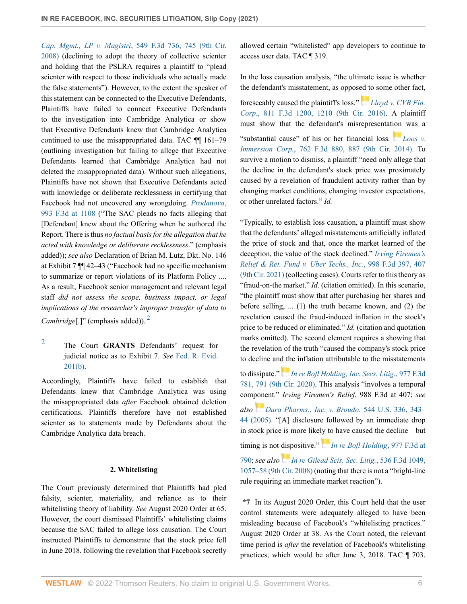*Cap. Mgmt., LP v. Magistri*[, 549 F.3d 736, 745 \(9th Cir.](http://www.westlaw.com/Link/Document/FullText?findType=Y&serNum=2017510601&pubNum=0000506&originatingDoc=I058110a0624611ec8337ad9f61f6c691&refType=RP&fi=co_pp_sp_506_745&originationContext=document&vr=3.0&rs=cblt1.0&transitionType=DocumentItem&contextData=(sc.Keycite)#co_pp_sp_506_745) [2008\)](http://www.westlaw.com/Link/Document/FullText?findType=Y&serNum=2017510601&pubNum=0000506&originatingDoc=I058110a0624611ec8337ad9f61f6c691&refType=RP&fi=co_pp_sp_506_745&originationContext=document&vr=3.0&rs=cblt1.0&transitionType=DocumentItem&contextData=(sc.Keycite)#co_pp_sp_506_745) (declining to adopt the theory of collective scienter and holding that the PSLRA requires a plaintiff to "plead scienter with respect to those individuals who actually made the false statements"). However, to the extent the speaker of this statement can be connected to the Executive Defendants, Plaintiffs have failed to connect Executive Defendants to the investigation into Cambridge Analytica or show that Executive Defendants knew that Cambridge Analytica continued to use the misappropriated data. TAC ¶¶ 161–79 (outlining investigation but failing to allege that Executive Defendants learned that Cambridge Analytica had not deleted the misappropriated data). Without such allegations, Plaintiffs have not shown that Executive Defendants acted with knowledge or deliberate recklessness in certifying that Facebook had not uncovered any wrongdoing. *[Prodanova](http://www.westlaw.com/Link/Document/FullText?findType=Y&serNum=2053403508&pubNum=0000506&originatingDoc=I058110a0624611ec8337ad9f61f6c691&refType=RP&fi=co_pp_sp_506_1108&originationContext=document&vr=3.0&rs=cblt1.0&transitionType=DocumentItem&contextData=(sc.Keycite)#co_pp_sp_506_1108)*, [993 F.3d at 1108](http://www.westlaw.com/Link/Document/FullText?findType=Y&serNum=2053403508&pubNum=0000506&originatingDoc=I058110a0624611ec8337ad9f61f6c691&refType=RP&fi=co_pp_sp_506_1108&originationContext=document&vr=3.0&rs=cblt1.0&transitionType=DocumentItem&contextData=(sc.Keycite)#co_pp_sp_506_1108) ("The SAC pleads no facts alleging that [Defendant] knew about the Offering when he authored the Report. There is thus *no factual basis for the allegation that he acted with knowledge or deliberate recklessness*." (emphasis added)); *see also* Declaration of Brian M. Lutz, Dkt. No. 146 at Exhibit 7 ¶¶ 42–43 ("Facebook had no specific mechanism to summarize or report violations of its Platform Policy .... As a result, Facebook senior management and relevant legal staff *did not assess the scope, business impact, or legal implications of the researcher's improper transfer of data to Cambridge*[.]" (emphasis added)).<sup>[2](#page-5-0)</sup>

### <span id="page-5-1"></span><span id="page-5-0"></span>[2](#page-5-1) The Court **GRANTS** Defendants' request for judicial notice as to Exhibit 7. *See* [Fed. R. Evid.](http://www.westlaw.com/Link/Document/FullText?findType=L&pubNum=1000607&cite=USFRER201&originatingDoc=I058110a0624611ec8337ad9f61f6c691&refType=LQ&originationContext=document&vr=3.0&rs=cblt1.0&transitionType=DocumentItem&contextData=(sc.Keycite)) [201\(b\).](http://www.westlaw.com/Link/Document/FullText?findType=L&pubNum=1000607&cite=USFRER201&originatingDoc=I058110a0624611ec8337ad9f61f6c691&refType=LQ&originationContext=document&vr=3.0&rs=cblt1.0&transitionType=DocumentItem&contextData=(sc.Keycite))

Accordingly, Plaintiffs have failed to establish that Defendants knew that Cambridge Analytica was using the misappropriated data *after* Facebook obtained deletion certifications. Plaintiffs therefore have not established scienter as to statements made by Defendants about the Cambridge Analytica data breach.

#### **2. Whitelisting**

The Court previously determined that Plaintiffs had pled falsity, scienter, materiality, and reliance as to their whitelisting theory of liability. *See* August 2020 Order at 65. However, the court dismissed Plaintiffs' whitelisting claims because the SAC failed to allege loss causation. The Court instructed Plaintiffs to demonstrate that the stock price fell in June 2018, following the revelation that Facebook secretly allowed certain "whitelisted" app developers to continue to access user data. TAC ¶ 319.

In the loss causation analysis, "the ultimate issue is whether the defendant's misstatement, as oppos[ed to](https://1.next.westlaw.com/Link/RelatedInformation/Flag?documentGuid=If26577f1c99e11e5a807ad48145ed9f1&transitionType=InlineKeyCiteFlags&originationContext=docHeaderFlag&Rank=0&ppcid=8defc373f5f24fb8b1cccdc1dd532fc0&contextData=(sc.Keycite) ) some other fact,

foreseeably caused the plaintiff's loss." *[Lloyd v. CVB Fin.](http://www.westlaw.com/Link/Document/FullText?findType=Y&serNum=2038206483&pubNum=0000506&originatingDoc=I058110a0624611ec8337ad9f61f6c691&refType=RP&fi=co_pp_sp_506_1210&originationContext=document&vr=3.0&rs=cblt1.0&transitionType=DocumentItem&contextData=(sc.Keycite)#co_pp_sp_506_1210) Corp.*[, 811 F.3d 1200, 1210 \(9th Cir. 2016\).](http://www.westlaw.com/Link/Document/FullText?findType=Y&serNum=2038206483&pubNum=0000506&originatingDoc=I058110a0624611ec8337ad9f61f6c691&refType=RP&fi=co_pp_sp_506_1210&originationContext=document&vr=3.0&rs=cblt1.0&transitionType=DocumentItem&contextData=(sc.Keycite)#co_pp_sp_506_1210) A plaintiff must show that the defendant's misrepresentat[ion](https://1.next.westlaw.com/Link/RelatedInformation/Flag?documentGuid=I3a651d0f1e4111e4b86bd602cb8781fa&transitionType=InlineKeyCiteFlags&originationContext=docHeaderFlag&Rank=0&ppcid=8defc373f5f24fb8b1cccdc1dd532fc0&contextData=(sc.Keycite) ) was a "substantial cause" of his or her financial loss. *[Loos v.](http://www.westlaw.com/Link/Document/FullText?findType=Y&serNum=2033986956&pubNum=0000506&originatingDoc=I058110a0624611ec8337ad9f61f6c691&refType=RP&fi=co_pp_sp_506_887&originationContext=document&vr=3.0&rs=cblt1.0&transitionType=DocumentItem&contextData=(sc.Keycite)#co_pp_sp_506_887) Immersion Corp.*[, 762 F.3d 880, 887 \(9th Cir. 2014\)](http://www.westlaw.com/Link/Document/FullText?findType=Y&serNum=2033986956&pubNum=0000506&originatingDoc=I058110a0624611ec8337ad9f61f6c691&refType=RP&fi=co_pp_sp_506_887&originationContext=document&vr=3.0&rs=cblt1.0&transitionType=DocumentItem&contextData=(sc.Keycite)#co_pp_sp_506_887). To survive a motion to dismiss, a plaintiff "need only allege that the decline in the defendant's stock price was proximately caused by a revelation of fraudulent activity rather than by

changing market conditions, changing investor expectations,

or other unrelated factors." *Id.*

"Typically, to establish loss causation, a plaintiff must show that the defendants' alleged misstatements artificially inflated the price of stock and that, once the market learned of the deception, the value of the stock declined." *[Irving Firemen's](http://www.westlaw.com/Link/Document/FullText?findType=Y&serNum=2053657868&pubNum=0000506&originatingDoc=I058110a0624611ec8337ad9f61f6c691&refType=RP&fi=co_pp_sp_506_407&originationContext=document&vr=3.0&rs=cblt1.0&transitionType=DocumentItem&contextData=(sc.Keycite)#co_pp_sp_506_407) [Relief & Ret. Fund v. Uber Techs., Inc.](http://www.westlaw.com/Link/Document/FullText?findType=Y&serNum=2053657868&pubNum=0000506&originatingDoc=I058110a0624611ec8337ad9f61f6c691&refType=RP&fi=co_pp_sp_506_407&originationContext=document&vr=3.0&rs=cblt1.0&transitionType=DocumentItem&contextData=(sc.Keycite)#co_pp_sp_506_407)*, 998 F.3d 397, 407 [\(9th Cir. 2021\)](http://www.westlaw.com/Link/Document/FullText?findType=Y&serNum=2053657868&pubNum=0000506&originatingDoc=I058110a0624611ec8337ad9f61f6c691&refType=RP&fi=co_pp_sp_506_407&originationContext=document&vr=3.0&rs=cblt1.0&transitionType=DocumentItem&contextData=(sc.Keycite)#co_pp_sp_506_407) (collecting cases). Courts refer to this theory as "fraud-on-the market." *Id.* (citation omitted). In this scenario, "the plaintiff must show that after purchasing her shares and before selling, ... (1) the truth became known, and (2) the revelation caused the fraud-induced inflation in the stock's price to be reduced or eliminated." *Id.* (citation and quotation marks omitted). The second element requires a showing that the revelation of the truth "caused the company's stock price to decline an[d th](https://1.next.westlaw.com/Link/RelatedInformation/Flag?documentGuid=Idbae4f2009b011ebaf4a97db80ef4b04&transitionType=InlineKeyCiteFlags&originationContext=docHeaderFlag&Rank=0&ppcid=8defc373f5f24fb8b1cccdc1dd532fc0&contextData=(sc.Keycite) )e inflation attributable to the misstatements

to dissipate." *[In re Bofl Holding, Inc. Secs. Litig.](http://www.westlaw.com/Link/Document/FullText?findType=Y&serNum=2052093594&pubNum=0000506&originatingDoc=I058110a0624611ec8337ad9f61f6c691&refType=RP&fi=co_pp_sp_506_791&originationContext=document&vr=3.0&rs=cblt1.0&transitionType=DocumentItem&contextData=(sc.Keycite)#co_pp_sp_506_791)*, 977 F.3d [781, 791 \(9th Cir. 2020\)](http://www.westlaw.com/Link/Document/FullText?findType=Y&serNum=2052093594&pubNum=0000506&originatingDoc=I058110a0624611ec8337ad9f61f6c691&refType=RP&fi=co_pp_sp_506_791&originationContext=document&vr=3.0&rs=cblt1.0&transitionType=DocumentItem&contextData=(sc.Keycite)#co_pp_sp_506_791). This analysis "involves a temporal component." *Irving Firemen's Relief*, 988 F.3d at 407; *see also [Dura Pharms., Inc. v. Broudo](http://www.westlaw.com/Link/Document/FullText?findType=Y&serNum=2006478482&pubNum=0000780&originatingDoc=I058110a0624611ec8337ad9f61f6c691&refType=RP&fi=co_pp_sp_780_343&originationContext=document&vr=3.0&rs=cblt1.0&transitionType=DocumentItem&contextData=(sc.Keycite)#co_pp_sp_780_343)*, 544 U.S. 336, 343– [44 \(2005\)](http://www.westlaw.com/Link/Document/FullText?findType=Y&serNum=2006478482&pubNum=0000780&originatingDoc=I058110a0624611ec8337ad9f61f6c691&refType=RP&fi=co_pp_sp_780_343&originationContext=document&vr=3.0&rs=cblt1.0&transitionType=DocumentItem&contextData=(sc.Keycite)#co_pp_sp_780_343). "[A] disclosure followed by an immediate drop in stock price is more like[ly to](https://1.next.westlaw.com/Link/RelatedInformation/Flag?documentGuid=Idbae4f2009b011ebaf4a97db80ef4b04&transitionType=InlineKeyCiteFlags&originationContext=docHeaderFlag&Rank=0&ppcid=8defc373f5f24fb8b1cccdc1dd532fc0&contextData=(sc.Keycite) ) have caused the decline—but timing is not dispositive." *[In re Bofl Holding](http://www.westlaw.com/Link/Document/FullText?findType=Y&serNum=2052093594&pubNum=0000506&originatingDoc=I058110a0624611ec8337ad9f61f6c691&refType=RP&fi=co_pp_sp_506_790&originationContext=document&vr=3.0&rs=cblt1.0&transitionType=DocumentItem&contextData=(sc.Keycite)#co_pp_sp_506_790)*, 977 F.3d at [790](http://www.westlaw.com/Link/Document/FullText?findType=Y&serNum=2052093594&pubNum=0000506&originatingDoc=I058110a0624611ec8337ad9f61f6c691&refType=RP&fi=co_pp_sp_506_790&originationContext=document&vr=3.0&rs=cblt1.0&transitionType=DocumentItem&contextData=(sc.Keycite)#co_pp_sp_506_790); *see also[In re Gilead Scis. Sec. Litig.](http://www.westlaw.com/Link/Document/FullText?findType=Y&serNum=2016722866&pubNum=0000506&originatingDoc=I058110a0624611ec8337ad9f61f6c691&refType=RP&fi=co_pp_sp_506_1057&originationContext=document&vr=3.0&rs=cblt1.0&transitionType=DocumentItem&contextData=(sc.Keycite)#co_pp_sp_506_1057)*, 536 F.3d 1049, [1057–58 \(9th Cir. 2008\)](http://www.westlaw.com/Link/Document/FullText?findType=Y&serNum=2016722866&pubNum=0000506&originatingDoc=I058110a0624611ec8337ad9f61f6c691&refType=RP&fi=co_pp_sp_506_1057&originationContext=document&vr=3.0&rs=cblt1.0&transitionType=DocumentItem&contextData=(sc.Keycite)#co_pp_sp_506_1057) (noting that there is not a "bright-line rule requiring an immediate market reaction").

**\*7** In its August 2020 Order, this Court held that the user control statements were adequately alleged to have been misleading because of Facebook's "whitelisting practices." August 2020 Order at 38. As the Court noted, the relevant time period is *after* the revelation of Facebook's whitelisting practices, which would be after June 3, 2018. TAC ¶ 703.